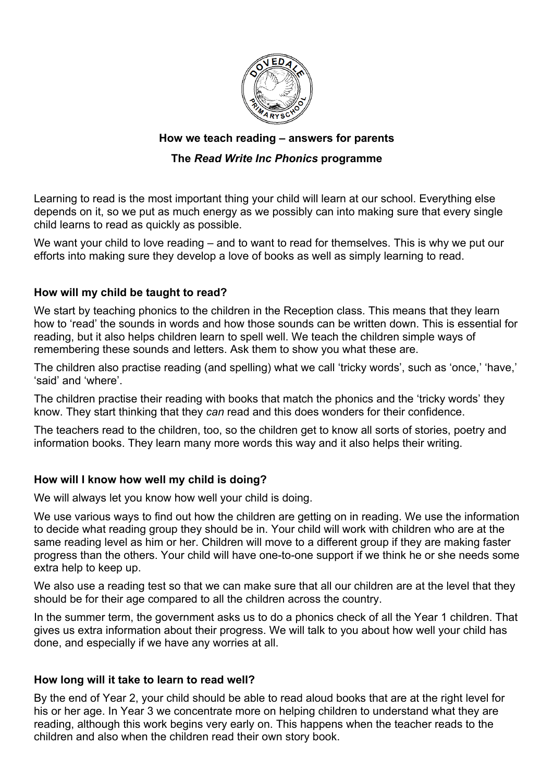

**How we teach reading – answers for parents**

# **The** *Read Write Inc Phonics* **programme**

Learning to read is the most important thing your child will learn at our school. Everything else depends on it, so we put as much energy as we possibly can into making sure that every single child learns to read as quickly as possible.

We want your child to love reading – and to want to read for themselves. This is why we put our efforts into making sure they develop a love of books as well as simply learning to read.

# **How will my child be taught to read?**

We start by teaching phonics to the children in the Reception class. This means that they learn how to 'read' the sounds in words and how those sounds can be written down. This is essential for reading, but it also helps children learn to spell well. We teach the children simple ways of remembering these sounds and letters. Ask them to show you what these are.

The children also practise reading (and spelling) what we call 'tricky words', such as 'once,' 'have,' 'said' and 'where'.

The children practise their reading with books that match the phonics and the 'tricky words' they know. They start thinking that they *can* read and this does wonders for their confidence.

The teachers read to the children, too, so the children get to know all sorts of stories, poetry and information books. They learn many more words this way and it also helps their writing.

# **How will I know how well my child is doing?**

We will always let you know how well your child is doing.

We use various ways to find out how the children are getting on in reading. We use the information to decide what reading group they should be in. Your child will work with children who are at the same reading level as him or her. Children will move to a different group if they are making faster progress than the others. Your child will have one-to-one support if we think he or she needs some extra help to keep up.

We also use a reading test so that we can make sure that all our children are at the level that they should be for their age compared to all the children across the country.

In the summer term, the government asks us to do a phonics check of all the Year 1 children. That gives us extra information about their progress. We will talk to you about how well your child has done, and especially if we have any worries at all.

#### **How long will it take to learn to read well?**

By the end of Year 2, your child should be able to read aloud books that are at the right level for his or her age. In Year 3 we concentrate more on helping children to understand what they are reading, although this work begins very early on. This happens when the teacher reads to the children and also when the children read their own story book.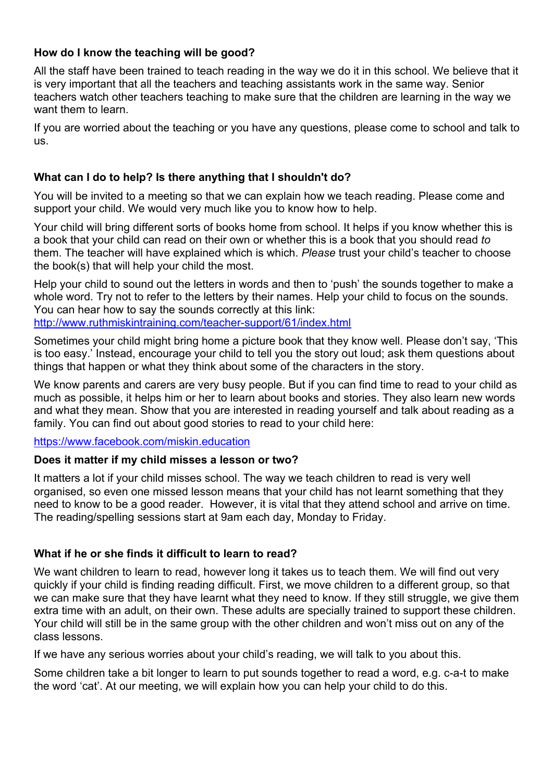# **How do I know the teaching will be good?**

All the staff have been trained to teach reading in the way we do it in this school. We believe that it is very important that all the teachers and teaching assistants work in the same way. Senior teachers watch other teachers teaching to make sure that the children are learning in the way we want them to learn.

If you are worried about the teaching or you have any questions, please come to school and talk to us.

# **What can I do to help? Is there anything that I shouldn't do?**

You will be invited to a meeting so that we can explain how we teach reading. Please come and support your child. We would very much like you to know how to help.

Your child will bring different sorts of books home from school. It helps if you know whether this is a book that your child can read on their own or whether this is a book that you should read *to* them. The teacher will have explained which is which. *Please* trust your child's teacher to choose the book(s) that will help your child the most.

Help your child to sound out the letters in words and then to 'push' the sounds together to make a whole word. Try not to refer to the letters by their names. Help your child to focus on the sounds. You can hear how to say the sounds correctly at this link:

http://www.ruthmiskintraining.com/teacher-support/61/index.html

Sometimes your child might bring home a picture book that they know well. Please don't say, 'This is too easy.' Instead, encourage your child to tell you the story out loud; ask them questions about things that happen or what they think about some of the characters in the story.

We know parents and carers are very busy people. But if you can find time to read to your child as much as possible, it helps him or her to learn about books and stories. They also learn new words and what they mean. Show that you are interested in reading yourself and talk about reading as a family. You can find out about good stories to read to your child here:

https://www.facebook.com/miskin.education

# **Does it matter if my child misses a lesson or two?**

It matters a lot if your child misses school. The way we teach children to read is very well organised, so even one missed lesson means that your child has not learnt something that they need to know to be a good reader. However, it is vital that they attend school and arrive on time. The reading/spelling sessions start at 9am each day, Monday to Friday.

# **What if he or she finds it difficult to learn to read?**

We want children to learn to read, however long it takes us to teach them. We will find out very quickly if your child is finding reading difficult. First, we move children to a different group, so that we can make sure that they have learnt what they need to know. If they still struggle, we give them extra time with an adult, on their own. These adults are specially trained to support these children. Your child will still be in the same group with the other children and won't miss out on any of the class lessons.

If we have any serious worries about your child's reading, we will talk to you about this.

Some children take a bit longer to learn to put sounds together to read a word, e.g. c-a-t to make the word 'cat'. At our meeting, we will explain how you can help your child to do this.